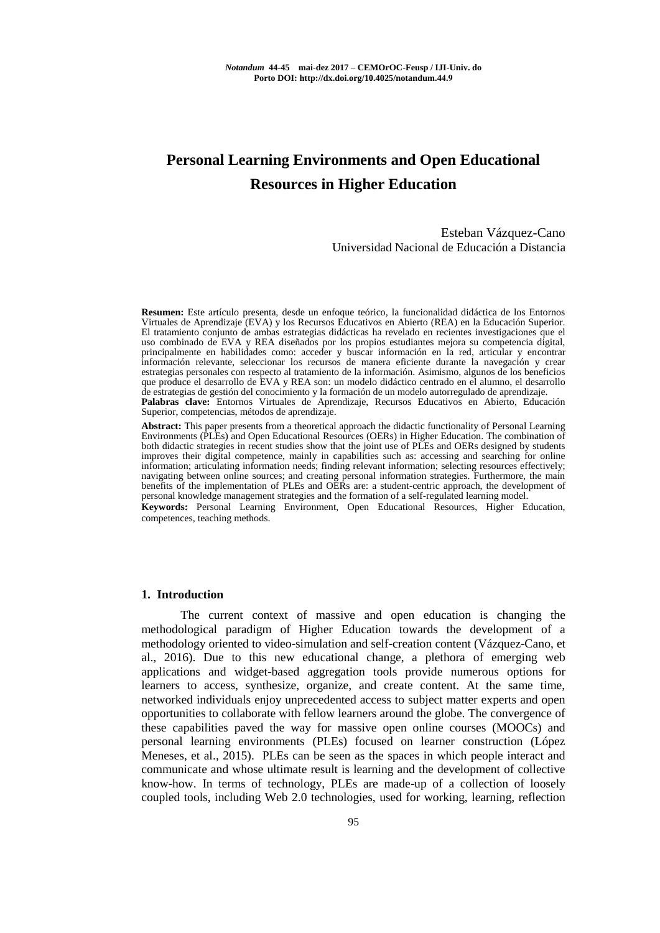# **Personal Learning Environments and Open Educational Resources in Higher Education**

## Esteban Vázquez-Cano Universidad Nacional de Educación a Distancia

**Resumen:** Este artículo presenta, desde un enfoque teórico, la funcionalidad didáctica de los Entornos Virtuales de Aprendizaje (EVA) y los Recursos Educativos en Abierto (REA) en la Educación Superior. El tratamiento conjunto de ambas estrategias didácticas ha revelado en recientes investigaciones que el uso combinado de EVA y REA diseñados por los propios estudiantes mejora su competencia digital, principalmente en habilidades como: acceder y buscar información en la red, articular y encontrar información relevante, seleccionar los recursos de manera eficiente durante la navegación y crear estrategias personales con respecto al tratamiento de la información. Asimismo, algunos de los beneficios que produce el desarrollo de EVA y REA son: un modelo didáctico centrado en el alumno, el desarrollo de estrategias de gestión del conocimiento y la formación de un modelo autorregulado de aprendizaje. **Palabras clave:** Entornos Virtuales de Aprendizaje, Recursos Educativos en Abierto, Educación Superior, competencias, métodos de aprendizaje.

**Abstract:** This paper presents from a theoretical approach the didactic functionality of Personal Learning Environments (PLEs) and Open Educational Resources (OERs) in Higher Education. The combination of both didactic strategies in recent studies show that the joint use of PLEs and OERs designed by students improves their digital competence, mainly in capabilities such as: accessing and searching for online information; articulating information needs; finding relevant information; selecting resources effectively; navigating between online sources; and creating personal information strategies. Furthermore, the main benefits of the implementation of PLEs and OERs are: a student-centric approach, the development of personal knowledge management strategies and the formation of a self-regulated learning model. **Keywords:** Personal Learning Environment, Open Educational Resources, Higher Education,

competences, teaching methods.

#### **1. Introduction**

The current context of massive and open education is changing the methodological paradigm of Higher Education towards the development of a methodology oriented to video-simulation and self-creation content (Vázquez-Cano, et al., 2016). Due to this new educational change, a plethora of emerging web applications and widget-based aggregation tools provide numerous options for learners to access, synthesize, organize, and create content. At the same time, networked individuals enjoy unprecedented access to subject matter experts and open opportunities to collaborate with fellow learners around the globe. The convergence of these capabilities paved the way for massive open online courses (MOOCs) and personal learning environments (PLEs) focused on learner construction (López Meneses, et al., 2015). PLEs can be seen as the spaces in which people interact and communicate and whose ultimate result is learning and the development of collective know-how. In terms of technology, PLEs are made-up of a collection of loosely coupled tools, including Web 2.0 technologies, used for working, learning, reflection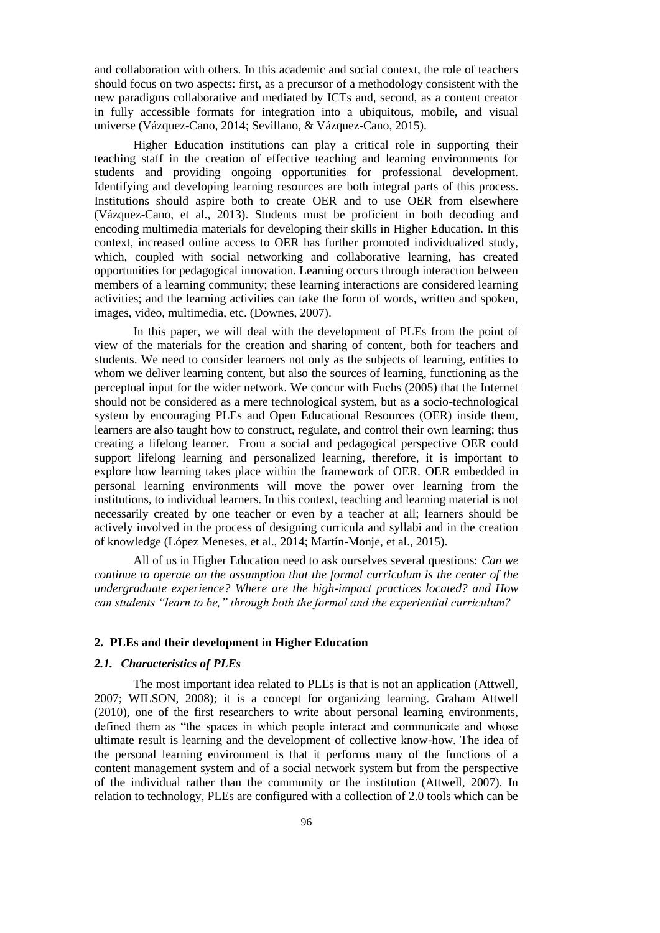and collaboration with others. In this academic and social context, the role of teachers should focus on two aspects: first, as a precursor of a methodology consistent with the new paradigms collaborative and mediated by ICTs and, second, as a content creator in fully accessible formats for integration into a ubiquitous, mobile, and visual universe (Vázquez-Cano, 2014; Sevillano, & Vázquez-Cano, 2015).

Higher Education institutions can play a critical role in supporting their teaching staff in the creation of effective teaching and learning environments for students and providing ongoing opportunities for professional development. Identifying and developing learning resources are both integral parts of this process. Institutions should aspire both to create OER and to use OER from elsewhere (Vázquez-Cano, et al., 2013). Students must be proficient in both decoding and encoding multimedia materials for developing their skills in Higher Education. In this context, increased online access to OER has further promoted individualized study, which, coupled with social networking and collaborative learning, has created opportunities for pedagogical innovation. Learning occurs through interaction between members of a learning community; these learning interactions are considered learning activities; and the learning activities can take the form of words, written and spoken, images, video, multimedia, etc. (Downes, 2007).

In this paper, we will deal with the development of PLEs from the point of view of the materials for the creation and sharing of content, both for teachers and students. We need to consider learners not only as the subjects of learning, entities to whom we deliver learning content, but also the sources of learning, functioning as the perceptual input for the wider network. We concur with Fuchs (2005) that the Internet should not be considered as a mere technological system, but as a socio-technological system by encouraging PLEs and Open Educational Resources (OER) inside them, learners are also taught how to construct, regulate, and control their own learning; thus creating a lifelong learner. From a social and pedagogical perspective OER could support lifelong learning and personalized learning, therefore, it is important to explore how learning takes place within the framework of OER. OER embedded in personal learning environments will move the power over learning from the institutions, to individual learners. In this context, teaching and learning material is not necessarily created by one teacher or even by a teacher at all; learners should be actively involved in the process of designing curricula and syllabi and in the creation of knowledge (López Meneses, et al., 2014; Martín-Monje, et al., 2015).

All of us in Higher Education need to ask ourselves several questions: *Can we continue to operate on the assumption that the formal curriculum is the center of the undergraduate experience? Where are the high-impact practices located? and How can students "learn to be," through both the formal and the experiential curriculum?*

## **2. PLEs and their development in Higher Education**

#### *2.1. Characteristics of PLEs*

The most important idea related to PLEs is that is not an application (Attwell, 2007; WILSON, 2008); it is a concept for organizing learning. Graham Attwell (2010), one of the first researchers to write about personal learning environments, defined them as "the spaces in which people interact and communicate and whose ultimate result is learning and the development of collective know-how. The idea of the personal learning environment is that it performs many of the functions of a content management system and of a social network system but from the perspective of the individual rather than the community or the institution (Attwell, 2007). In relation to technology, PLEs are configured with a collection of 2.0 tools which can be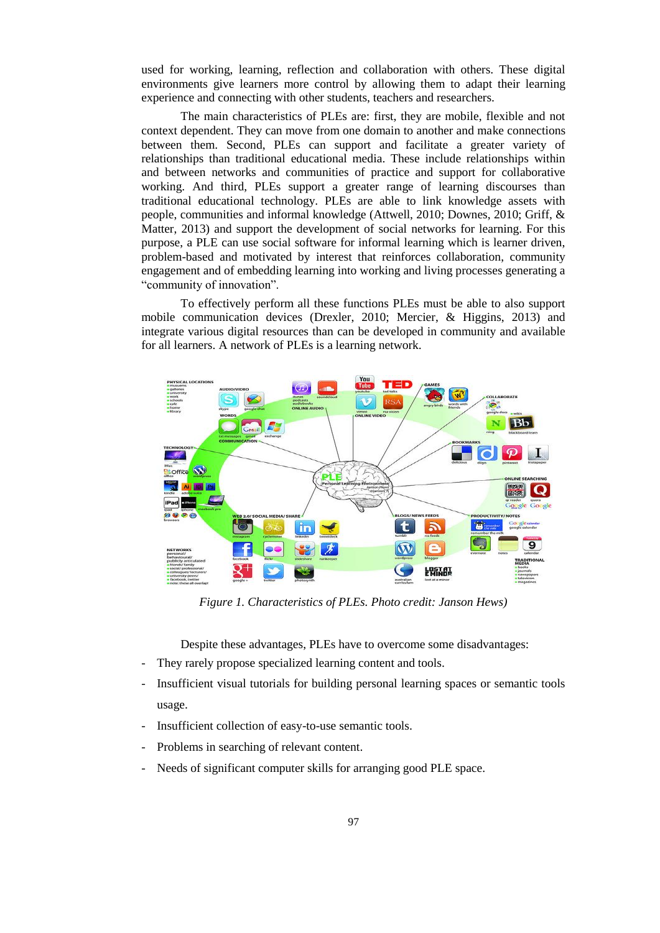used for working, learning, reflection and collaboration with others. These digital environments give learners more control by allowing them to adapt their learning experience and connecting with other students, teachers and researchers.

The main characteristics of PLEs are: first, they are mobile, flexible and not context dependent. They can move from one domain to another and make connections between them. Second, PLEs can support and facilitate a greater variety of relationships than traditional educational media. These include relationships within and between networks and communities of practice and support for collaborative working. And third, PLEs support a greater range of learning discourses than traditional educational technology. PLEs are able to link knowledge assets with people, communities and informal knowledge (Attwell, 2010; Downes, 2010; Griff, & Matter, 2013) and support the development of social networks for learning. For this purpose, a PLE can use social software for informal learning which is learner driven, problem-based and motivated by interest that reinforces collaboration, community engagement and of embedding learning into working and living processes generating a "community of innovation".

To effectively perform all these functions PLEs must be able to also support mobile communication devices (Drexler, 2010; Mercier, & Higgins, 2013) and integrate various digital resources than can be developed in community and available for all learners. A network of PLEs is a learning network.



*Figure 1. Characteristics of PLEs. Photo credit: Janson Hews)*

Despite these advantages, PLEs have to overcome some disadvantages:

- They rarely propose specialized learning content and tools.
- Insufficient visual tutorials for building personal learning spaces or semantic tools usage.
- Insufficient collection of easy-to-use semantic tools.
- Problems in searching of relevant content.
- Needs of significant computer skills for arranging good PLE space.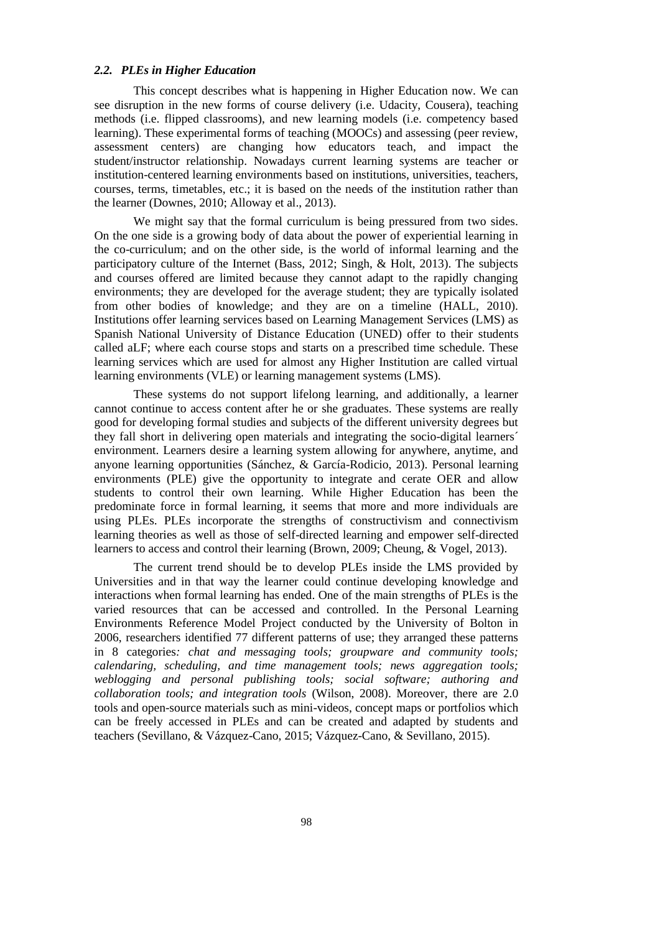# *2.2. PLEs in Higher Education*

This concept describes what is happening in Higher Education now. We can see disruption in the new forms of course delivery (i.e. Udacity, Cousera), teaching methods (i.e. flipped classrooms), and new learning models (i.e. competency based learning). These experimental forms of teaching (MOOCs) and assessing (peer review, assessment centers) are changing how educators teach, and impact the student/instructor relationship. Nowadays current learning systems are teacher or institution-centered learning environments based on institutions, universities, teachers, courses, terms, timetables, etc.; it is based on the needs of the institution rather than the learner (Downes, 2010; Alloway et al., 2013).

We might say that the formal curriculum is being pressured from two sides. On the one side is a growing body of data about the power of experiential learning in the co-curriculum; and on the other side, is the world of informal learning and the participatory culture of the Internet (Bass, 2012; Singh, & Holt, 2013). The subjects and courses offered are limited because they cannot adapt to the rapidly changing environments; they are developed for the average student; they are typically isolated from other bodies of knowledge; and they are on a timeline (HALL, 2010). Institutions offer learning services based on Learning Management Services (LMS) as Spanish National University of Distance Education (UNED) offer to their students called aLF; where each course stops and starts on a prescribed time schedule. These learning services which are used for almost any Higher Institution are called virtual learning environments (VLE) or learning management systems (LMS).

These systems do not support lifelong learning, and additionally, a learner cannot continue to access content after he or she graduates. These systems are really good for developing formal studies and subjects of the different university degrees but they fall short in delivering open materials and integrating the socio-digital learners´ environment. Learners desire a learning system allowing for anywhere, anytime, and anyone learning opportunities (Sánchez, & García-Rodicio, 2013). Personal learning environments (PLE) give the opportunity to integrate and cerate OER and allow students to control their own learning. While Higher Education has been the predominate force in formal learning, it seems that more and more individuals are using PLEs. PLEs incorporate the strengths of constructivism and connectivism learning theories as well as those of self-directed learning and empower self-directed learners to access and control their learning (Brown, 2009; Cheung, & Vogel, 2013).

The current trend should be to develop PLEs inside the LMS provided by Universities and in that way the learner could continue developing knowledge and interactions when formal learning has ended. One of the main strengths of PLEs is the varied resources that can be accessed and controlled. In the Personal Learning Environments Reference Model Project conducted by the University of Bolton in 2006, researchers identified 77 different patterns of use; they arranged these patterns in 8 categories*: chat and messaging tools; groupware and community tools; calendaring, scheduling, and time management tools; news aggregation tools; weblogging and personal publishing tools; social software; authoring and collaboration tools; and integration tools* (Wilson, 2008). Moreover, there are 2.0 tools and open-source materials such as mini-videos, concept maps or portfolios which can be freely accessed in PLEs and can be created and adapted by students and teachers (Sevillano, & Vázquez-Cano, 2015; Vázquez-Cano, & Sevillano, 2015).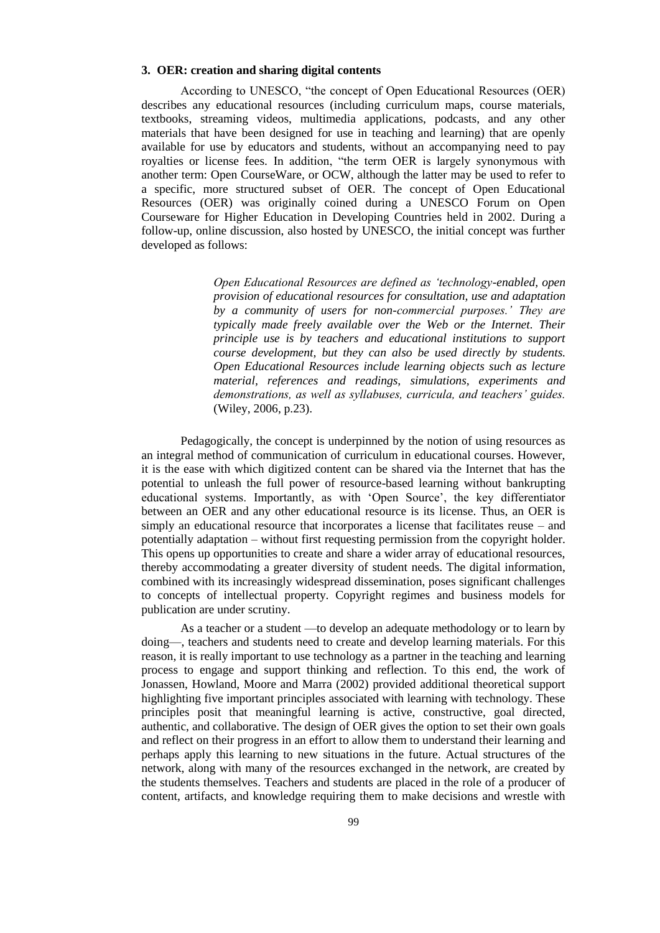#### **3. OER: creation and sharing digital contents**

According to UNESCO, "the concept of Open Educational Resources (OER) describes any educational resources (including curriculum maps, course materials, textbooks, streaming videos, multimedia applications, podcasts, and any other materials that have been designed for use in teaching and learning) that are openly available for use by educators and students, without an accompanying need to pay royalties or license fees. In addition, "the term OER is largely synonymous with another term: Open CourseWare, or OCW, although the latter may be used to refer to a specific, more structured subset of OER. The concept of Open Educational Resources (OER) was originally coined during a UNESCO Forum on Open Courseware for Higher Education in Developing Countries held in 2002. During a follow-up, online discussion, also hosted by UNESCO, the initial concept was further developed as follows:

> *Open Educational Resources are defined as 'technology-enabled, open provision of educational resources for consultation, use and adaptation by a community of users for non-commercial purposes.' They are typically made freely available over the Web or the Internet. Their principle use is by teachers and educational institutions to support course development, but they can also be used directly by students. Open Educational Resources include learning objects such as lecture material, references and readings, simulations, experiments and demonstrations, as well as syllabuses, curricula, and teachers' guides.*  (Wiley, 2006, p.23).

Pedagogically, the concept is underpinned by the notion of using resources as an integral method of communication of curriculum in educational courses. However, it is the ease with which digitized content can be shared via the Internet that has the potential to unleash the full power of resource-based learning without bankrupting educational systems. Importantly, as with 'Open Source', the key differentiator between an OER and any other educational resource is its license. Thus, an OER is simply an educational resource that incorporates a license that facilitates reuse – and potentially adaptation – without first requesting permission from the copyright holder. This opens up opportunities to create and share a wider array of educational resources, thereby accommodating a greater diversity of student needs. The digital information, combined with its increasingly widespread dissemination, poses significant challenges to concepts of intellectual property. Copyright regimes and business models for publication are under scrutiny.

As a teacher or a student —to develop an adequate methodology or to learn by doing—, teachers and students need to create and develop learning materials. For this reason, it is really important to use technology as a partner in the teaching and learning process to engage and support thinking and reflection. To this end, the work of Jonassen, Howland, Moore and Marra (2002) provided additional theoretical support highlighting five important principles associated with learning with technology. These principles posit that meaningful learning is active, constructive, goal directed, authentic, and collaborative. The design of OER gives the option to set their own goals and reflect on their progress in an effort to allow them to understand their learning and perhaps apply this learning to new situations in the future. Actual structures of the network, along with many of the resources exchanged in the network, are created by the students themselves. Teachers and students are placed in the role of a producer of content, artifacts, and knowledge requiring them to make decisions and wrestle with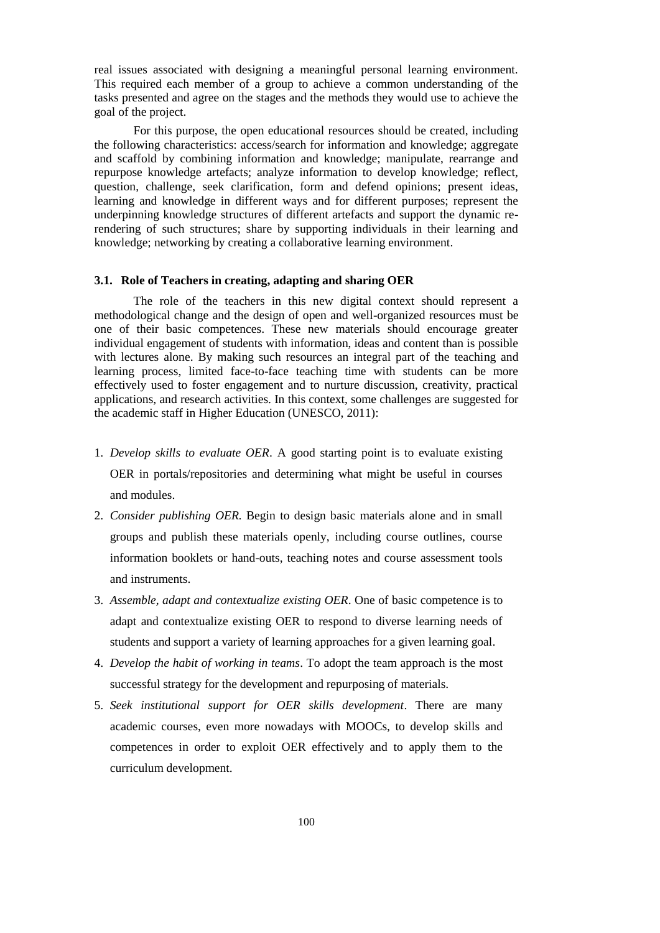real issues associated with designing a meaningful personal learning environment. This required each member of a group to achieve a common understanding of the tasks presented and agree on the stages and the methods they would use to achieve the goal of the project.

For this purpose, the open educational resources should be created, including the following characteristics: access/search for information and knowledge; aggregate and scaffold by combining information and knowledge; manipulate, rearrange and repurpose knowledge artefacts; analyze information to develop knowledge; reflect, question, challenge, seek clarification, form and defend opinions; present ideas, learning and knowledge in different ways and for different purposes; represent the underpinning knowledge structures of different artefacts and support the dynamic rerendering of such structures; share by supporting individuals in their learning and knowledge; networking by creating a collaborative learning environment.

#### **3.1. Role of Teachers in creating, adapting and sharing OER**

The role of the teachers in this new digital context should represent a methodological change and the design of open and well-organized resources must be one of their basic competences. These new materials should encourage greater individual engagement of students with information, ideas and content than is possible with lectures alone. By making such resources an integral part of the teaching and learning process, limited face-to-face teaching time with students can be more effectively used to foster engagement and to nurture discussion, creativity, practical applications, and research activities. In this context, some challenges are suggested for the academic staff in Higher Education (UNESCO, 2011):

- 1. *Develop skills to evaluate OER*. A good starting point is to evaluate existing OER in portals/repositories and determining what might be useful in courses and modules.
- 2. *Consider publishing OER.* Begin to design basic materials alone and in small groups and publish these materials openly, including course outlines, course information booklets or hand-outs, teaching notes and course assessment tools and instruments.
- 3. *Assemble, adapt and contextualize existing OER*. One of basic competence is to adapt and contextualize existing OER to respond to diverse learning needs of students and support a variety of learning approaches for a given learning goal.
- 4. *Develop the habit of working in teams*. To adopt the team approach is the most successful strategy for the development and repurposing of materials.
- 5. *Seek institutional support for OER skills development*. There are many academic courses, even more nowadays with MOOCs, to develop skills and competences in order to exploit OER effectively and to apply them to the curriculum development.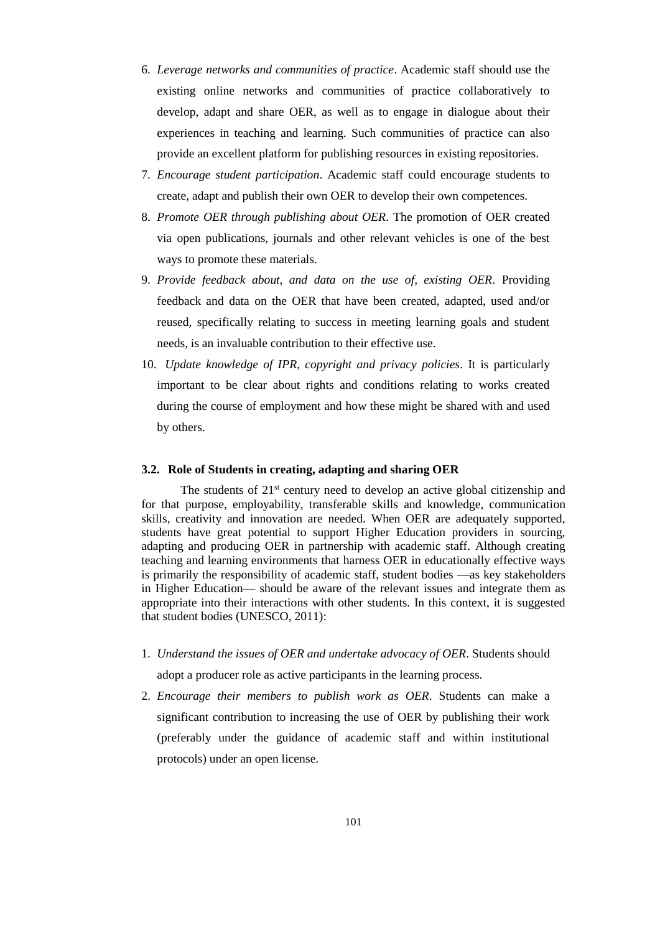- 6. *Leverage networks and communities of practice*. Academic staff should use the existing online networks and communities of practice collaboratively to develop, adapt and share OER, as well as to engage in dialogue about their experiences in teaching and learning. Such communities of practice can also provide an excellent platform for publishing resources in existing repositories.
- 7. *Encourage student participation*. Academic staff could encourage students to create, adapt and publish their own OER to develop their own competences.
- 8. *Promote OER through publishing about OER*. The promotion of OER created via open publications, journals and other relevant vehicles is one of the best ways to promote these materials.
- 9. *Provide feedback about, and data on the use of, existing OER*. Providing feedback and data on the OER that have been created, adapted, used and/or reused, specifically relating to success in meeting learning goals and student needs, is an invaluable contribution to their effective use.
- 10. *Update knowledge of IPR, copyright and privacy policies*. It is particularly important to be clear about rights and conditions relating to works created during the course of employment and how these might be shared with and used by others.

#### **3.2. Role of Students in creating, adapting and sharing OER**

The students of  $21<sup>st</sup>$  century need to develop an active global citizenship and for that purpose, employability, transferable skills and knowledge, communication skills, creativity and innovation are needed. When OER are adequately supported, students have great potential to support Higher Education providers in sourcing, adapting and producing OER in partnership with academic staff. Although creating teaching and learning environments that harness OER in educationally effective ways is primarily the responsibility of academic staff, student bodies —as key stakeholders in Higher Education— should be aware of the relevant issues and integrate them as appropriate into their interactions with other students. In this context, it is suggested that student bodies (UNESCO, 2011):

- 1. *Understand the issues of OER and undertake advocacy of OER*. Students should adopt a producer role as active participants in the learning process.
- 2. *Encourage their members to publish work as OER*. Students can make a significant contribution to increasing the use of OER by publishing their work (preferably under the guidance of academic staff and within institutional protocols) under an open license.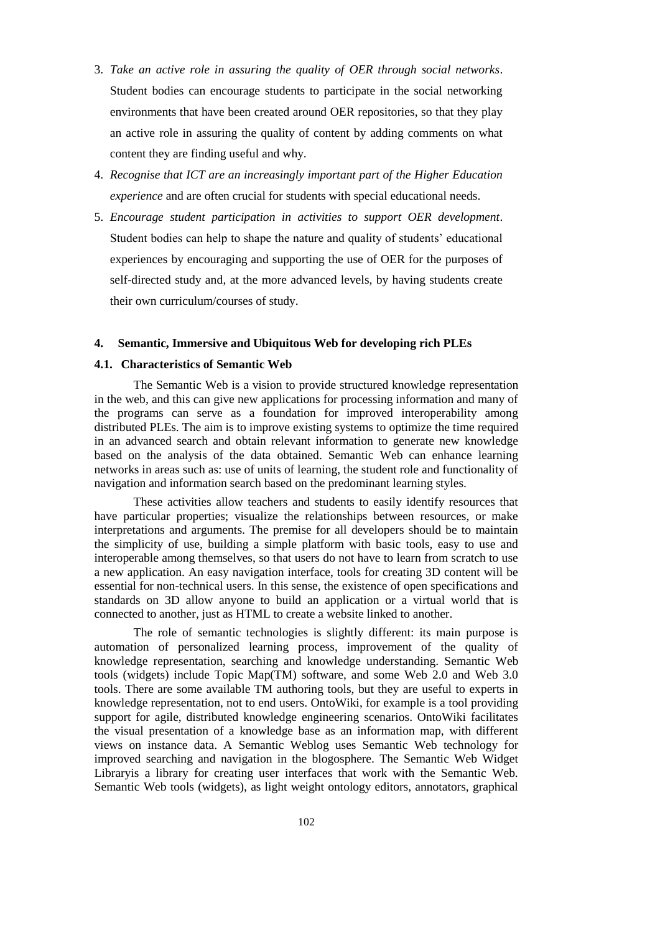- 3. *Take an active role in assuring the quality of OER through social networks*. Student bodies can encourage students to participate in the social networking environments that have been created around OER repositories, so that they play an active role in assuring the quality of content by adding comments on what content they are finding useful and why.
- 4. *Recognise that ICT are an increasingly important part of the Higher Education experience* and are often crucial for students with special educational needs.
- 5. *Encourage student participation in activities to support OER development*. Student bodies can help to shape the nature and quality of students' educational experiences by encouraging and supporting the use of OER for the purposes of self-directed study and, at the more advanced levels, by having students create their own curriculum/courses of study.

#### **4. Semantic, Immersive and Ubiquitous Web for developing rich PLEs**

#### **4.1. Characteristics of Semantic Web**

The Semantic Web is a vision to provide structured knowledge representation in the web, and this can give new applications for processing information and many of the programs can serve as a foundation for improved interoperability among distributed PLEs. The aim is to improve existing systems to optimize the time required in an advanced search and obtain relevant information to generate new knowledge based on the analysis of the data obtained. Semantic Web can enhance learning networks in areas such as: use of units of learning, the student role and functionality of navigation and information search based on the predominant learning styles.

These activities allow teachers and students to easily identify resources that have particular properties; visualize the relationships between resources, or make interpretations and arguments. The premise for all developers should be to maintain the simplicity of use, building a simple platform with basic tools, easy to use and interoperable among themselves, so that users do not have to learn from scratch to use a new application. An easy navigation interface, tools for creating 3D content will be essential for non-technical users. In this sense, the existence of open specifications and standards on 3D allow anyone to build an application or a virtual world that is connected to another, just as HTML to create a website linked to another.

The role of semantic technologies is slightly different: its main purpose is automation of personalized learning process, improvement of the quality of knowledge representation, searching and knowledge understanding. Semantic Web tools (widgets) include Topic Map(TM) software, and some Web 2.0 and Web 3.0 tools. There are some available TM authoring tools, but they are useful to experts in knowledge representation, not to end users. OntoWiki, for example is a tool providing support for agile, distributed knowledge engineering scenarios. OntoWiki facilitates the visual presentation of a knowledge base as an information map, with different views on instance data. A Semantic Weblog uses Semantic Web technology for improved searching and navigation in the blogosphere. The Semantic Web Widget Libraryis a library for creating user interfaces that work with the Semantic Web. Semantic Web tools (widgets), as light weight ontology editors, annotators, graphical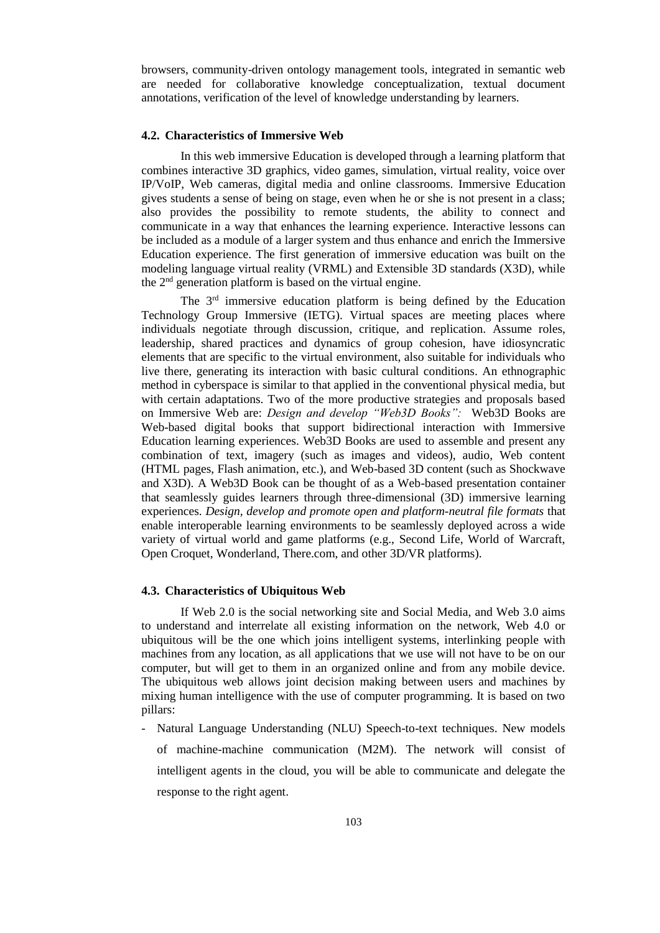browsers, community-driven ontology management tools, integrated in semantic web are needed for collaborative knowledge conceptualization, textual document annotations, verification of the level of knowledge understanding by learners.

#### **4.2. Characteristics of Immersive Web**

In this web immersive Education is developed through a learning platform that combines interactive 3D graphics, video games, simulation, virtual reality, voice over IP/VoIP, Web cameras, digital media and online classrooms. Immersive Education gives students a sense of being on stage, even when he or she is not present in a class; also provides the possibility to remote students, the ability to connect and communicate in a way that enhances the learning experience. Interactive lessons can be included as a module of a larger system and thus enhance and enrich the Immersive Education experience. The first generation of immersive education was built on the modeling language virtual reality (VRML) and Extensible 3D standards (X3D), while the 2nd generation platform is based on the virtual engine.

The 3<sup>rd</sup> immersive education platform is being defined by the Education Technology Group Immersive (IETG). Virtual spaces are meeting places where individuals negotiate through discussion, critique, and replication. Assume roles, leadership, shared practices and dynamics of group cohesion, have idiosyncratic elements that are specific to the virtual environment, also suitable for individuals who live there, generating its interaction with basic cultural conditions. An ethnographic method in cyberspace is similar to that applied in the conventional physical media, but with certain adaptations. Two of the more productive strategies and proposals based on Immersive Web are: *Design and develop "Web3D Books":* Web3D Books are Web-based digital books that support bidirectional interaction with Immersive Education learning experiences. Web3D Books are used to assemble and present any combination of text, imagery (such as images and videos), audio, Web content (HTML pages, Flash animation, etc.), and Web-based 3D content (such as Shockwave and X3D). A Web3D Book can be thought of as a Web-based presentation container that seamlessly guides learners through three-dimensional (3D) immersive learning experiences. *Design, develop and promote open and platform-neutral file formats* that enable interoperable learning environments to be seamlessly deployed across a wide variety of virtual world and game platforms (e.g., Second Life, World of Warcraft, Open Croquet, Wonderland, There.com, and other 3D/VR platforms).

#### **4.3. Characteristics of Ubiquitous Web**

If Web 2.0 is the social networking site and Social Media, and Web 3.0 aims to understand and interrelate all existing information on the network, Web 4.0 or ubiquitous will be the one which joins intelligent systems, interlinking people with machines from any location, as all applications that we use will not have to be on our computer, but will get to them in an organized online and from any mobile device. The ubiquitous web allows joint decision making between users and machines by mixing human intelligence with the use of computer programming. It is based on two pillars:

- Natural Language Understanding (NLU) Speech-to-text techniques. New models of machine-machine communication (M2M). The network will consist of intelligent agents in the cloud, you will be able to communicate and delegate the response to the right agent.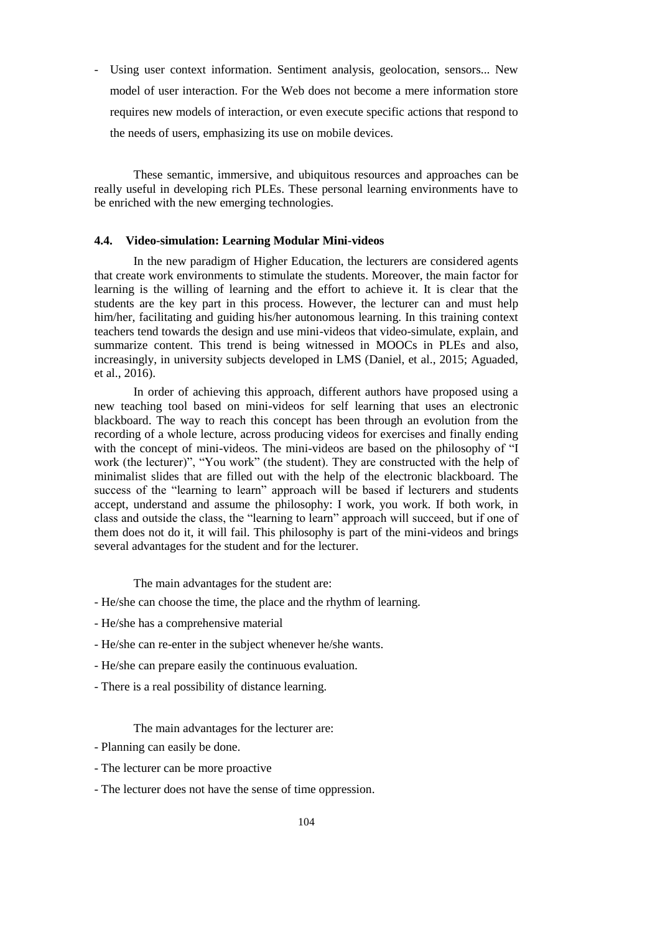- Using user context information. Sentiment analysis, geolocation, sensors... New model of user interaction. For the Web does not become a mere information store requires new models of interaction, or even execute specific actions that respond to the needs of users, emphasizing its use on mobile devices.

These semantic, immersive, and ubiquitous resources and approaches can be really useful in developing rich PLEs. These personal learning environments have to be enriched with the new emerging technologies.

# **4.4. Video-simulation: Learning Modular Mini-videos**

In the new paradigm of Higher Education, the lecturers are considered agents that create work environments to stimulate the students. Moreover, the main factor for learning is the willing of learning and the effort to achieve it. It is clear that the students are the key part in this process. However, the lecturer can and must help him/her, facilitating and guiding his/her autonomous learning. In this training context teachers tend towards the design and use mini-videos that video-simulate, explain, and summarize content. This trend is being witnessed in MOOCs in PLEs and also, increasingly, in university subjects developed in LMS (Daniel, et al., 2015; Aguaded, et al., 2016).

In order of achieving this approach, different authors have proposed using a new teaching tool based on mini-videos for self learning that uses an electronic blackboard. The way to reach this concept has been through an evolution from the recording of a whole lecture, across producing videos for exercises and finally ending with the concept of mini-videos. The mini-videos are based on the philosophy of "I work (the lecturer)", "You work" (the student). They are constructed with the help of minimalist slides that are filled out with the help of the electronic blackboard. The success of the "learning to learn" approach will be based if lecturers and students accept, understand and assume the philosophy: I work, you work. If both work, in class and outside the class, the "learning to learn" approach will succeed, but if one of them does not do it, it will fail. This philosophy is part of the mini-videos and brings several advantages for the student and for the lecturer.

The main advantages for the student are:

- He/she can choose the time, the place and the rhythm of learning.
- He/she has a comprehensive material
- He/she can re-enter in the subject whenever he/she wants.
- He/she can prepare easily the continuous evaluation.
- There is a real possibility of distance learning.

The main advantages for the lecturer are:

- Planning can easily be done.
- The lecturer can be more proactive
- The lecturer does not have the sense of time oppression.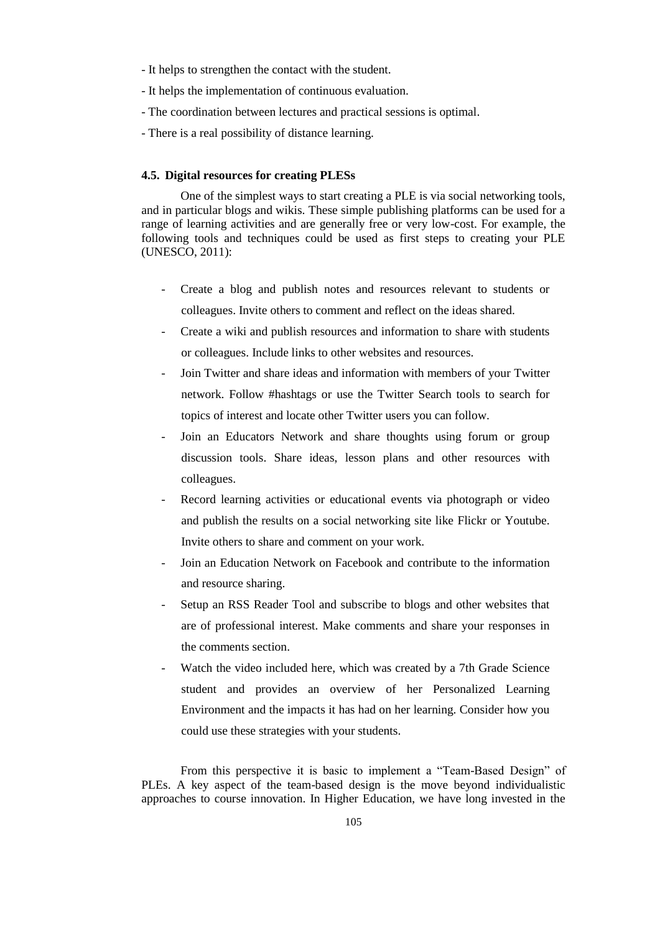- It helps to strengthen the contact with the student.
- It helps the implementation of continuous evaluation.
- The coordination between lectures and practical sessions is optimal.
- There is a real possibility of distance learning.

## **4.5. Digital resources for creating PLESs**

One of the simplest ways to start creating a PLE is via social networking tools, and in particular blogs and wikis. These simple publishing platforms can be used for a range of learning activities and are generally free or very low-cost. For example, the following tools and techniques could be used as first steps to creating your PLE (UNESCO, 2011):

- Create a blog and publish notes and resources relevant to students or colleagues. Invite others to comment and reflect on the ideas shared.
- Create a wiki and publish resources and information to share with students or colleagues. Include links to other websites and resources.
- Join Twitter and share ideas and information with members of your Twitter network. Follow #hashtags or use the Twitter Search tools to search for topics of interest and locate other Twitter users you can follow.
- Join an Educators Network and share thoughts using forum or group discussion tools. Share ideas, lesson plans and other resources with colleagues.
- Record learning activities or educational events via photograph or video and publish the results on a social networking site like Flickr or Youtube. Invite others to share and comment on your work.
- Join an Education Network on Facebook and contribute to the information and resource sharing.
- Setup an RSS Reader Tool and subscribe to blogs and other websites that are of professional interest. Make comments and share your responses in the comments section.
- Watch the video included here, which was created by a 7th Grade Science student and provides an overview of her Personalized Learning Environment and the impacts it has had on her learning. Consider how you could use these strategies with your students.

From this perspective it is basic to implement a "Team-Based Design" of PLEs. A key aspect of the team-based design is the move beyond individualistic approaches to course innovation. In Higher Education, we have long invested in the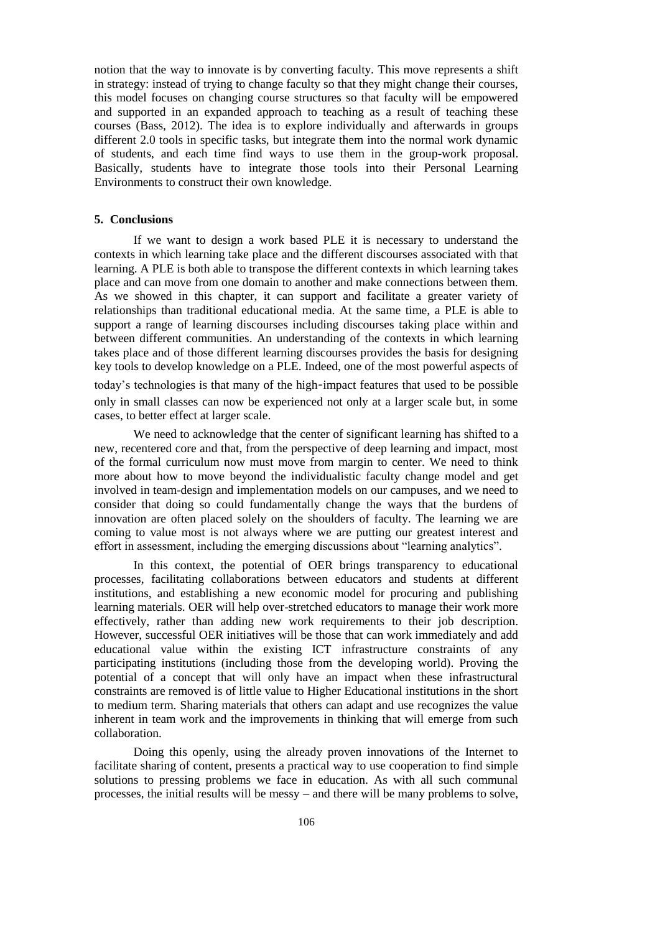notion that the way to innovate is by converting faculty. This move represents a shift in strategy: instead of trying to change faculty so that they might change their courses, this model focuses on changing course structures so that faculty will be empowered and supported in an expanded approach to teaching as a result of teaching these courses (Bass, 2012). The idea is to explore individually and afterwards in groups different 2.0 tools in specific tasks, but integrate them into the normal work dynamic of students, and each time find ways to use them in the group-work proposal. Basically, students have to integrate those tools into their Personal Learning Environments to construct their own knowledge.

#### **5. Conclusions**

If we want to design a work based PLE it is necessary to understand the contexts in which learning take place and the different discourses associated with that learning. A PLE is both able to transpose the different contexts in which learning takes place and can move from one domain to another and make connections between them. As we showed in this chapter, it can support and facilitate a greater variety of relationships than traditional educational media. At the same time, a PLE is able to support a range of learning discourses including discourses taking place within and between different communities. An understanding of the contexts in which learning takes place and of those different learning discourses provides the basis for designing key tools to develop knowledge on a PLE. Indeed, one of the most powerful aspects of today's technologies is that many of the high-impact features that used to be possible

only in small classes can now be experienced not only at a larger scale but, in some cases, to better effect at larger scale.

We need to acknowledge that the center of significant learning has shifted to a new, recentered core and that, from the perspective of deep learning and impact, most of the formal curriculum now must move from margin to center. We need to think more about how to move beyond the individualistic faculty change model and get involved in team-design and implementation models on our campuses, and we need to consider that doing so could fundamentally change the ways that the burdens of innovation are often placed solely on the shoulders of faculty. The learning we are coming to value most is not always where we are putting our greatest interest and effort in assessment, including the emerging discussions about "learning analytics".

In this context, the potential of OER brings transparency to educational processes, facilitating collaborations between educators and students at different institutions, and establishing a new economic model for procuring and publishing learning materials. OER will help over-stretched educators to manage their work more effectively, rather than adding new work requirements to their job description. However, successful OER initiatives will be those that can work immediately and add educational value within the existing ICT infrastructure constraints of any participating institutions (including those from the developing world). Proving the potential of a concept that will only have an impact when these infrastructural constraints are removed is of little value to Higher Educational institutions in the short to medium term. Sharing materials that others can adapt and use recognizes the value inherent in team work and the improvements in thinking that will emerge from such collaboration.

Doing this openly, using the already proven innovations of the Internet to facilitate sharing of content, presents a practical way to use cooperation to find simple solutions to pressing problems we face in education. As with all such communal processes, the initial results will be messy – and there will be many problems to solve,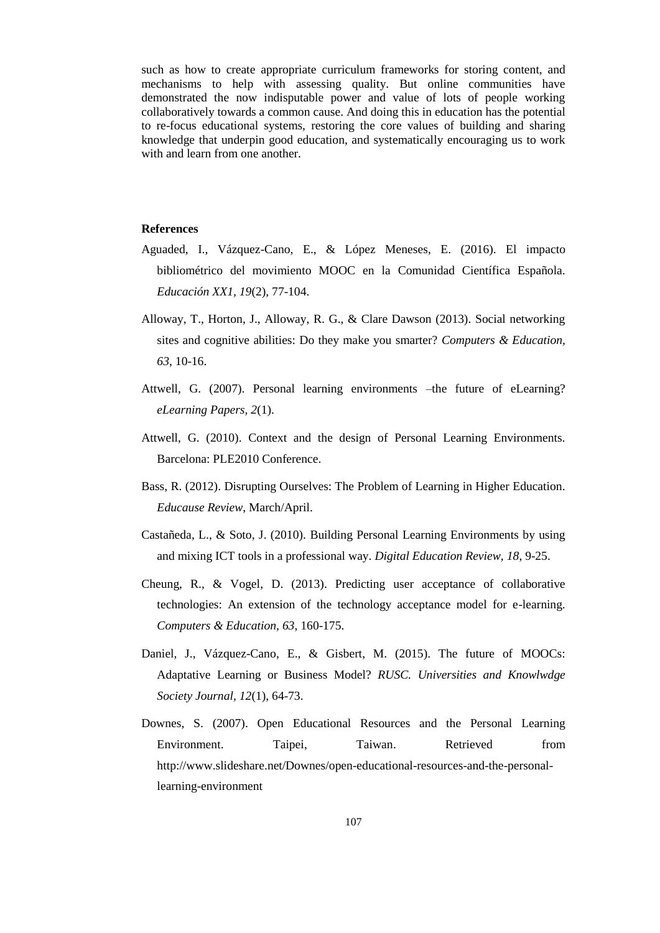such as how to create appropriate curriculum frameworks for storing content, and mechanisms to help with assessing quality. But online communities have demonstrated the now indisputable power and value of lots of people working collaboratively towards a common cause. And doing this in education has the potential to re-focus educational systems, restoring the core values of building and sharing knowledge that underpin good education, and systematically encouraging us to work with and learn from one another.

## **References**

- Aguaded, I., Vázquez-Cano, E., & López Meneses, E. (2016). El impacto bibliométrico del movimiento MOOC en la Comunidad Científica Española. *Educación XX1, 19*(2), 77-104.
- Alloway, T., Horton, J., Alloway, R. G., & Clare Dawson (2013). Social networking sites and cognitive abilities: Do they make you smarter? *Computers & Education, 63*, 10-16.
- Attwell, G. (2007). Personal learning environments –the future of eLearning? *eLearning Papers, 2*(1).
- Attwell, G. (2010). Context and the design of Personal Learning Environments. Barcelona: PLE2010 Conference.
- Bass, R. (2012). Disrupting Ourselves: The Problem of Learning in Higher Education. *Educause Review*, March/April.
- Castañeda, L., & Soto, J. (2010). Building Personal Learning Environments by using and mixing ICT tools in a professional way. *Digital Education Review, 18*, 9-25.
- Cheung, R., & Vogel, D. (2013). Predicting user acceptance of collaborative technologies: An extension of the technology acceptance model for e-learning. *Computers & Education, 63*, 160-175.
- Daniel, J., Vázquez-Cano, E., & Gisbert, M. (2015). The future of MOOCs: Adaptative Learning or Business Model? *RUSC. Universities and Knowlwdge Society Journal, 12*(1), 64-73.
- Downes, S. (2007). Open Educational Resources and the Personal Learning Environment. Taipei, Taiwan. Retrieved from http://www.slideshare.net/Downes/open-educational-resources-and-the-personallearning-environment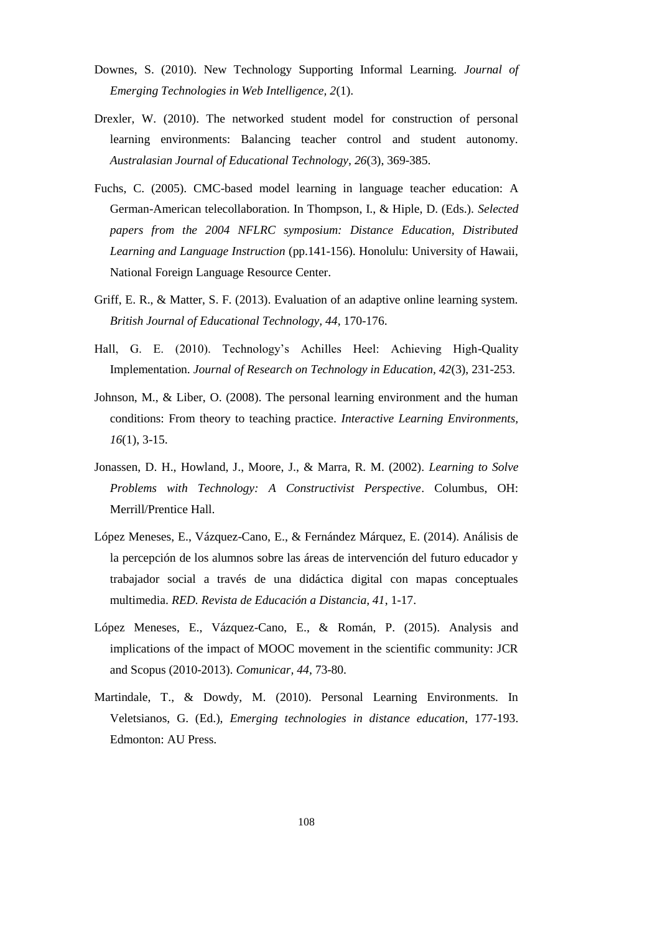- Downes, S. (2010). New Technology Supporting Informal Learning. *Journal of Emerging Technologies in Web Intelligence, 2*(1).
- Drexler, W. (2010). The networked student model for construction of personal learning environments: Balancing teacher control and student autonomy. *Australasian Journal of Educational Technology, 26*(3), 369-385.
- Fuchs, C. (2005). CMC-based model learning in language teacher education: A German-American telecollaboration. In Thompson, I., & Hiple, D. (Eds.). *Selected papers from the 2004 NFLRC symposium: Distance Education, Distributed Learning and Language Instruction* (pp.141-156). Honolulu: University of Hawaii, National Foreign Language Resource Center.
- Griff, E. R., & Matter, S. F. (2013). Evaluation of an adaptive online learning system. *British Journal of Educational Technology, 44*, 170-176.
- Hall, G. E. (2010). Technology's Achilles Heel: Achieving High-Quality Implementation. *Journal of Research on Technology in Education, 42*(3), 231-253.
- Johnson, M., & Liber, O. (2008). The personal learning environment and the human conditions: From theory to teaching practice. *Interactive Learning Environments, 16*(1), 3-15.
- Jonassen, D. H., Howland, J., Moore, J., & Marra, R. M. (2002). *Learning to Solve Problems with Technology: A Constructivist Perspective*. Columbus, OH: Merrill/Prentice Hall.
- López Meneses, E., Vázquez-Cano, E., & Fernández Márquez, E. (2014). Análisis de la percepción de los alumnos sobre las áreas de intervención del futuro educador y trabajador social a través de una didáctica digital con mapas conceptuales multimedia. *RED. Revista de Educación a Distancia, 41*, 1-17.
- López Meneses, E., Vázquez-Cano, E., & Román, P. (2015). Analysis and implications of the impact of MOOC movement in the scientific community: JCR and Scopus (2010-2013). *Comunicar, 44*, 73-80.
- Martindale, T., & Dowdy, M. (2010). Personal Learning Environments. In Veletsianos, G. (Ed.), *Emerging technologies in distance education*, 177-193. Edmonton: AU Press.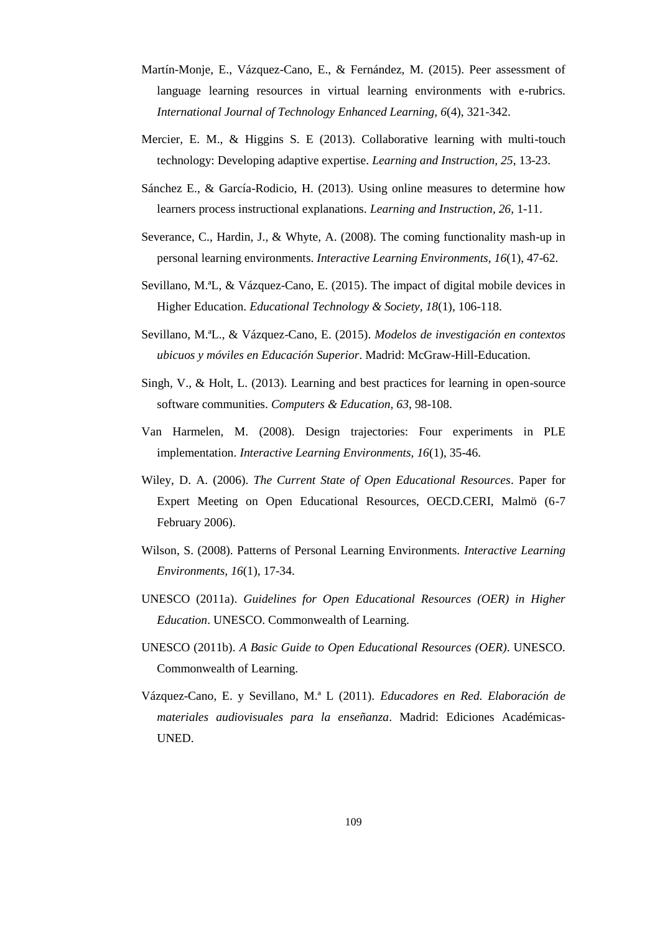- Martín-Monje, E., Vázquez-Cano, E., & Fernández, M. (2015). Peer assessment of language learning resources in virtual learning environments with e-rubrics. *International Journal of Technology Enhanced Learning, 6*(4), 321-342.
- Mercier, E. M., & Higgins S. E (2013). Collaborative learning with multi-touch technology: Developing adaptive expertise. *Learning and Instruction, 25*, 13-23.
- Sánchez E., & García-Rodicio, H. (2013). Using online measures to determine how learners process instructional explanations. *Learning and Instruction, 26*, 1-11.
- Severance, C., Hardin, J., & Whyte, A. (2008). The coming functionality mash-up in personal learning environments. *Interactive Learning Environments, 16*(1), 47-62.
- Sevillano, M.ªL, & Vázquez-Cano, E. (2015). The impact of digital mobile devices in Higher Education. *Educational Technology & Society, 18*(1), 106-118.
- Sevillano, M.ªL., & Vázquez-Cano, E. (2015). *Modelos de investigación en contextos ubicuos y móviles en Educación Superior*. Madrid: McGraw-Hill-Education.
- Singh, V., & Holt, L. (2013). Learning and best practices for learning in open-source software communities. *Computers & Education, 63*, 98-108.
- Van Harmelen, M. (2008). Design trajectories: Four experiments in PLE implementation. *Interactive Learning Environments, 16*(1), 35-46.
- Wiley, D. A. (2006). *The Current State of Open Educational Resources*. Paper for Expert Meeting on Open Educational Resources, OECD.CERI, Malmö (6-7 February 2006).
- Wilson, S. (2008). Patterns of Personal Learning Environments. *Interactive Learning Environments, 16*(1), 17-34.
- UNESCO (2011a). *Guidelines for Open Educational Resources (OER) in Higher Education*. UNESCO. Commonwealth of Learning.
- UNESCO (2011b). *A Basic Guide to Open Educational Resources (OER)*. UNESCO. Commonwealth of Learning.
- Vázquez-Cano, E. y Sevillano, M.ª L (2011). *Educadores en Red. Elaboración de materiales audiovisuales para la enseñanza*. Madrid: Ediciones Académicas-UNED.